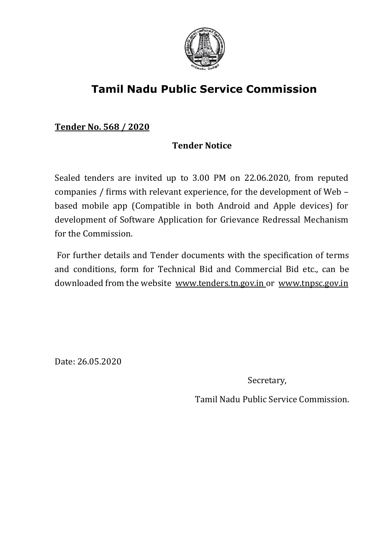

# **Tamil Nadu Public Service Commission**

**Tender No. 568 / 2020**

# **Tender Notice**

Sealed tenders are invited up to 3.00 PM on 22.06.2020, from reputed companies / firms with relevant experience, for the development of Web – based mobile app (Compatible in both Android and Apple devices) for development of Software Application for Grievance Redressal Mechanism for the Commission.

For further details and Tender documents with the specification of terms and conditions, form for Technical Bid and Commercial Bid etc., can be downloaded from the website [www.tenders.tn.gov.in](http://www.tenders.tn.gov.in/) o[r www.tnpsc.gov.in](http://www.tnpsc.gov.in/)

Date: 26.05.2020

Secretary,

Tamil Nadu Public Service Commission.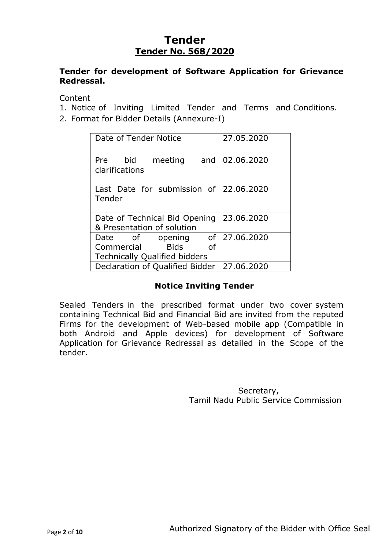# **Tender Tender No. 568/2020**

#### **Tender for development of Software Application for Grievance Redressal.**

Content

- 1. Notice of Inviting Limited Tender and Terms and Conditions.
- 2. Format for Bidder Details (Annexure-I)

| Date of Tender Notice                                       | 27.05.2020 |
|-------------------------------------------------------------|------------|
| bid meeting<br>and<br>Pre<br>clarifications                 | 02.06.2020 |
| Last Date for submission of 22.06.2020<br>Tender            |            |
| Date of Technical Bid Opening<br>& Presentation of solution | 23.06.2020 |
| of<br>of opening<br>Date                                    | 27.06.2020 |
| <b>Bids</b><br>Commercial<br>οf                             |            |
| <b>Technically Qualified bidders</b>                        |            |
| Declaration of Qualified Bidder                             | 27.06.2020 |

#### **Notice Inviting Tender**

Sealed Tenders in the prescribed format under two cover system containing Technical Bid and Financial Bid are invited from the reputed Firms for the development of Web-based mobile app (Compatible in both Android and Apple devices) for development of Software Application for Grievance Redressal as detailed in the Scope of the tender.

> Secretary, Tamil Nadu Public Service Commission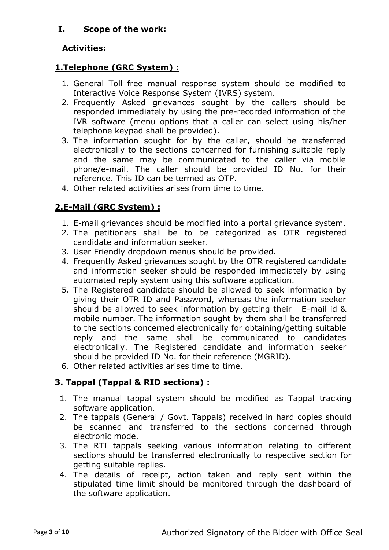# **I. Scope of the work:**

# **Activities:**

# **1.Telephone (GRC System) :**

- 1. General Toll free manual response system should be modified to Interactive Voice Response System (IVRS) system.
- 2. Frequently Asked grievances sought by the callers should be responded immediately by using the pre-recorded information of the IVR software (menu options that a caller can select using his/her telephone keypad shall be provided).
- 3. The information sought for by the caller, should be transferred electronically to the sections concerned for furnishing suitable reply and the same may be communicated to the caller via mobile phone/e-mail. The caller should be provided ID No. for their reference. This ID can be termed as OTP.
- 4. Other related activities arises from time to time.

# **2.E-Mail (GRC System) :**

- 1. E-mail grievances should be modified into a portal grievance system.
- 2. The petitioners shall be to be categorized as OTR registered candidate and information seeker.
- 3. User Friendly dropdown menus should be provided.
- 4. Frequently Asked grievances sought by the OTR registered candidate and information seeker should be responded immediately by using automated reply system using this software application.
- 5. The Registered candidate should be allowed to seek information by giving their OTR ID and Password, whereas the information seeker should be allowed to seek information by getting their E-mail id & mobile number. The information sought by them shall be transferred to the sections concerned electronically for obtaining/getting suitable reply and the same shall be communicated to candidates electronically. The Registered candidate and information seeker should be provided ID No. for their reference (MGRID).
- 6. Other related activities arises time to time.

# **3. Tappal (Tappal & RID sections) :**

- 1. The manual tappal system should be modified as Tappal tracking software application.
- 2. The tappals (General / Govt. Tappals) received in hard copies should be scanned and transferred to the sections concerned through electronic mode.
- 3. The RTI tappals seeking various information relating to different sections should be transferred electronically to respective section for getting suitable replies.
- 4. The details of receipt, action taken and reply sent within the stipulated time limit should be monitored through the dashboard of the software application.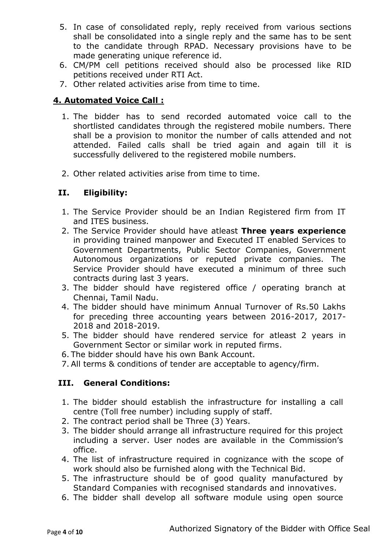- 5. In case of consolidated reply, reply received from various sections shall be consolidated into a single reply and the same has to be sent to the candidate through RPAD. Necessary provisions have to be made generating unique reference id.
- 6. CM/PM cell petitions received should also be processed like RID petitions received under RTI Act.
- 7. Other related activities arise from time to time.

#### **4. Automated Voice Call :**

- 1. The bidder has to send recorded automated voice call to the shortlisted candidates through the registered mobile numbers. There shall be a provision to monitor the number of calls attended and not attended. Failed calls shall be tried again and again till it is successfully delivered to the registered mobile numbers.
- 2. Other related activities arise from time to time.

#### **II. Eligibility:**

- 1. The Service Provider should be an Indian Registered firm from IT and ITES business.
- 2. The Service Provider should have atleast **Three years experience** in providing trained manpower and Executed IT enabled Services to Government Departments, Public Sector Companies, Government Autonomous organizations or reputed private companies. The Service Provider should have executed a minimum of three such contracts during last 3 years.
- 3. The bidder should have registered office / operating branch at Chennai, Tamil Nadu.
- 4. The bidder should have minimum Annual Turnover of Rs.50 Lakhs for preceding three accounting years between 2016-2017, 2017- 2018 and 2018-2019.
- 5. The bidder should have rendered service for atleast 2 years in Government Sector or similar work in reputed firms.
- 6. The bidder should have his own Bank Account.
- 7. All terms & conditions of tender are acceptable to agency/firm.

#### **III. General Conditions:**

- 1. The bidder should establish the infrastructure for installing a call centre (Toll free number) including supply of staff.
- 2. The contract period shall be Three (3) Years.
- 3. The bidder should arrange all infrastructure required for this project including a server. User nodes are available in the Commission's office.
- 4. The list of infrastructure required in cognizance with the scope of work should also be furnished along with the Technical Bid.
- 5. The infrastructure should be of good quality manufactured by Standard Companies with recognised standards and innovatives.
- 6. The bidder shall develop all software module using open source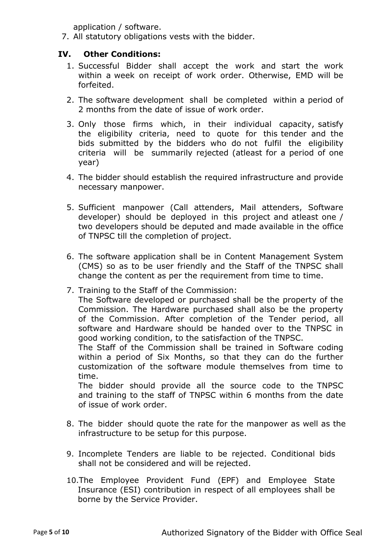application / software.

7. All statutory obligations vests with the bidder.

#### **IV. Other Conditions:**

- 1. Successful Bidder shall accept the work and start the work within a week on receipt of work order. Otherwise, EMD will be forfeited.
- 2. The software development shall be completed within a period of 2 months from the date of issue of work order.
- 3. Only those firms which, in their individual capacity, satisfy the eligibility criteria, need to quote for this tender and the bids submitted by the bidders who do not fulfil the eligibility criteria will be summarily rejected (atleast for a period of one year)
- 4. The bidder should establish the required infrastructure and provide necessary manpower.
- 5. Sufficient manpower (Call attenders, Mail attenders, Software developer) should be deployed in this project and atleast one / two developers should be deputed and made available in the office of TNPSC till the completion of project.
- 6. The software application shall be in Content Management System (CMS) so as to be user friendly and the Staff of the TNPSC shall change the content as per the requirement from time to time.
- 7. Training to the Staff of the Commission:

The Software developed or purchased shall be the property of the Commission. The Hardware purchased shall also be the property of the Commission. After completion of the Tender period, all software and Hardware should be handed over to the TNPSC in good working condition, to the satisfaction of the TNPSC.

The Staff of the Commission shall be trained in Software coding within a period of Six Months, so that they can do the further customization of the software module themselves from time to time.

The bidder should provide all the source code to the TNPSC and training to the staff of TNPSC within 6 months from the date of issue of work order.

- 8. The bidder should quote the rate for the manpower as well as the infrastructure to be setup for this purpose.
- 9. Incomplete Tenders are liable to be rejected. Conditional bids shall not be considered and will be rejected.
- 10.The Employee Provident Fund (EPF) and Employee State Insurance (ESI) contribution in respect of all employees shall be borne by the Service Provider.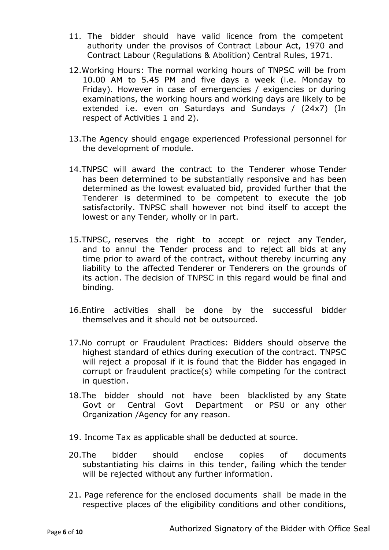- 11. The bidder should have valid licence from the competent authority under the provisos of Contract Labour Act, 1970 and Contract Labour (Regulations & Abolition) Central Rules, 1971.
- 12.Working Hours: The normal working hours of TNPSC will be from 10.00 AM to 5.45 PM and five days a week (i.e. Monday to Friday). However in case of emergencies / exigencies or during examinations, the working hours and working days are likely to be extended i.e. even on Saturdays and Sundays / (24x7) (In respect of Activities 1 and 2).
- 13.The Agency should engage experienced Professional personnel for the development of module.
- 14.TNPSC will award the contract to the Tenderer whose Tender has been determined to be substantially responsive and has been determined as the lowest evaluated bid, provided further that the Tenderer is determined to be competent to execute the job satisfactorily. TNPSC shall however not bind itself to accept the lowest or any Tender, wholly or in part.
- 15.TNPSC, reserves the right to accept or reject any Tender, and to annul the Tender process and to reject all bids at any time prior to award of the contract, without thereby incurring any liability to the affected Tenderer or Tenderers on the grounds of its action. The decision of TNPSC in this regard would be final and binding.
- 16.Entire activities shall be done by the successful bidder themselves and it should not be outsourced.
- 17.No corrupt or Fraudulent Practices: Bidders should observe the highest standard of ethics during execution of the contract. TNPSC will reject a proposal if it is found that the Bidder has engaged in corrupt or fraudulent practice(s) while competing for the contract in question.
- 18.The bidder should not have been blacklisted by any State Govt or Central Govt Department or PSU or any other Organization /Agency for any reason.
- 19. Income Tax as applicable shall be deducted at source.
- 20.The bidder should enclose copies of documents substantiating his claims in this tender, failing which the tender will be rejected without any further information.
- 21. Page reference for the enclosed documents shall be made in the respective places of the eligibility conditions and other conditions,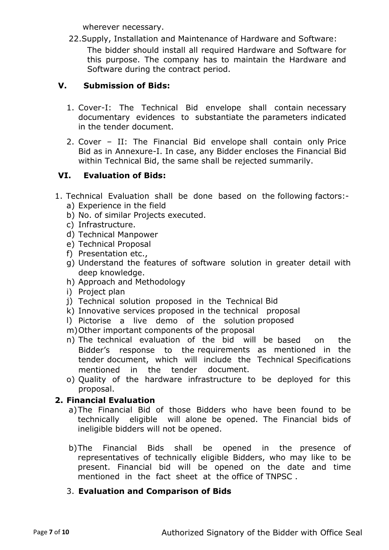wherever necessary.

22.Supply, Installation and Maintenance of Hardware and Software: The bidder should install all required Hardware and Software for this purpose. The company has to maintain the Hardware and Software during the contract period.

# **V. Submission of Bids:**

- 1. Cover-I: The Technical Bid envelope shall contain necessary documentary evidences to substantiate the parameters indicated in the tender document.
- 2. Cover II: The Financial Bid envelope shall contain only Price Bid as in Annexure-I. In case, any Bidder encloses the Financial Bid within Technical Bid, the same shall be rejected summarily.

# **VI. Evaluation of Bids:**

- 1. Technical Evaluation shall be done based on the following factors: a) Experience in the field
	- b) No. of similar Projects executed.
	- c) Infrastructure.
	- d) Technical Manpower
	- e) Technical Proposal
	- f) Presentation etc.,
	- g) Understand the features of software solution in greater detail with deep knowledge.
	- h) Approach and Methodology
	- i) Project plan
	- j) Technical solution proposed in the Technical Bid
	- k) Innovative services proposed in the technical proposal
	- l) Pictorise a live demo of the solution proposed
	- m)Other important components of the proposal
	- n) The technical evaluation of the bid will be based on the Bidder's response to the requirements as mentioned in the tender document, which will include the Technical Specifications mentioned in the tender document.
	- o) Quality of the hardware infrastructure to be deployed for this proposal.

#### **2. Financial Evaluation**

- a)The Financial Bid of those Bidders who have been found to be technically eligible will alone be opened. The Financial bids of ineligible bidders will not be opened.
- b)The Financial Bids shall be opened in the presence of representatives of technically eligible Bidders, who may like to be present. Financial bid will be opened on the date and time mentioned in the fact sheet at the office of TNPSC .
- 3. **Evaluation and Comparison of Bids**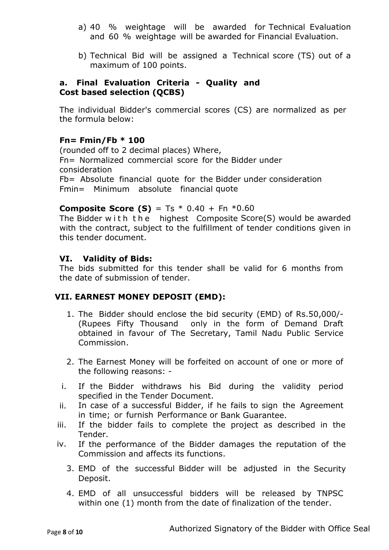- a) 40 % weightage will be awarded for Technical Evaluation and 60 % weightage will be awarded for Financial Evaluation.
- b) Technical Bid will be assigned a Technical score (TS) out of a maximum of 100 points.

#### **a. Final Evaluation Criteria - Quality and Cost based selection (QCBS)**

The individual Bidder's commercial scores (CS) are normalized as per the formula below:

# **Fn= Fmin/Fb \* 100**

(rounded off to 2 decimal places) Where, Fn= Normalized commercial score for the Bidder under consideration Fb= Absolute financial quote for the Bidder under consideration Fmin= Minimum absolute financial quote

# **Composite Score (S)** = Ts \* 0.40 + Fn \*0.60

The Bidder with the highest Composite Score(S) would be awarded with the contract, subject to the fulfillment of tender conditions given in this tender document.

#### **VI. Validity of Bids:**

The bids submitted for this tender shall be valid for 6 months from the date of submission of tender.

#### **VII. EARNEST MONEY DEPOSIT (EMD):**

- 1. The Bidder should enclose the bid security (EMD) of Rs.50,000/- (Rupees Fifty Thousand only in the form of Demand Draft obtained in favour of The Secretary, Tamil Nadu Public Service Commission.
- 2. The Earnest Money will be forfeited on account of one or more of the following reasons: -
- i. If the Bidder withdraws his Bid during the validity period specified in the Tender Document.
- ii. In case of a successful Bidder, if he fails to sign the Agreement in time; or furnish Performance or Bank Guarantee.
- iii. If the bidder fails to complete the project as described in the Tender.
- iv. If the performance of the Bidder damages the reputation of the Commission and affects its functions.
	- 3. EMD of the successful Bidder will be adjusted in the Security Deposit.
	- 4. EMD of all unsuccessful bidders will be released by TNPSC within one (1) month from the date of finalization of the tender.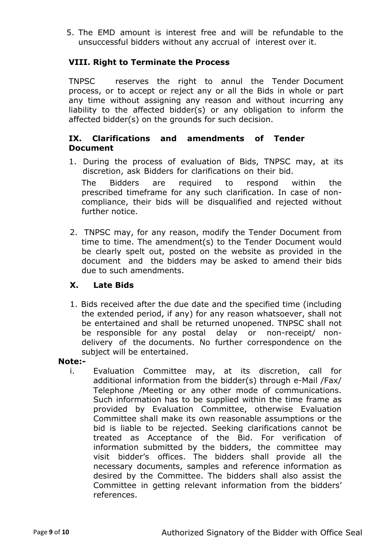5. The EMD amount is interest free and will be refundable to the unsuccessful bidders without any accrual of interest over it.

#### **VIII. Right to Terminate the Process**

TNPSC reserves the right to annul the Tender Document process, or to accept or reject any or all the Bids in whole or part any time without assigning any reason and without incurring any liability to the affected bidder(s) or any obligation to inform the affected bidder(s) on the grounds for such decision.

#### **IX. Clarifications and amendments of Tender Document**

- 1. During the process of evaluation of Bids, TNPSC may, at its discretion, ask Bidders for clarifications on their bid. The Bidders are required to respond within the prescribed timeframe for any such clarification. In case of noncompliance, their bids will be disqualified and rejected without further notice.
- 2. TNPSC may, for any reason, modify the Tender Document from time to time. The amendment(s) to the Tender Document would be clearly spelt out, posted on the website as provided in the document and the bidders may be asked to amend their bids due to such amendments.

#### **X. Late Bids**

1. Bids received after the due date and the specified time (including the extended period, if any) for any reason whatsoever, shall not be entertained and shall be returned unopened. TNPSC shall not be responsible for any postal delay or non-receipt/ nondelivery of the documents. No further correspondence on the subject will be entertained.

#### **Note:-**

i. Evaluation Committee may, at its discretion, call for additional information from the bidder(s) through e-Mail /Fax/ Telephone /Meeting or any other mode of communications. Such information has to be supplied within the time frame as provided by Evaluation Committee, otherwise Evaluation Committee shall make its own reasonable assumptions or the bid is liable to be rejected. Seeking clarifications cannot be treated as Acceptance of the Bid. For verification of information submitted by the bidders, the committee may visit bidder's offices. The bidders shall provide all the necessary documents, samples and reference information as desired by the Committee. The bidders shall also assist the Committee in getting relevant information from the bidders' references.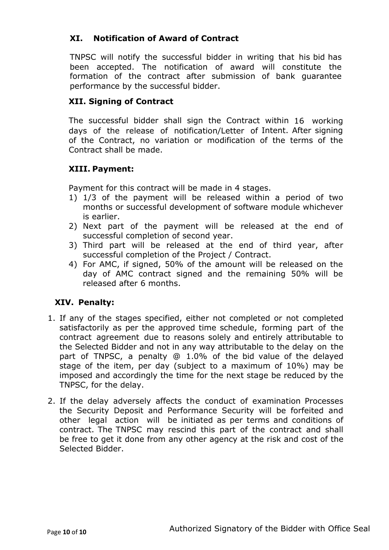### **XI. Notification of Award of Contract**

TNPSC will notify the successful bidder in writing that his bid has been accepted. The notification of award will constitute the formation of the contract after submission of bank guarantee performance by the successful bidder.

#### **XII. Signing of Contract**

The successful bidder shall sign the Contract within 16 working days of the release of notification/Letter of Intent. After signing of the Contract, no variation or modification of the terms of the Contract shall be made.

#### **XIII. Payment:**

Payment for this contract will be made in 4 stages.

- 1) 1/3 of the payment will be released within a period of two months or successful development of software module whichever is earlier.
- 2) Next part of the payment will be released at the end of successful completion of second year.
- 3) Third part will be released at the end of third year, after successful completion of the Project / Contract.
- 4) For AMC, if signed, 50% of the amount will be released on the day of AMC contract signed and the remaining 50% will be released after 6 months.

#### **XIV. Penalty:**

- 1. If any of the stages specified, either not completed or not completed satisfactorily as per the approved time schedule, forming part of the contract agreement due to reasons solely and entirely attributable to the Selected Bidder and not in any way attributable to the delay on the part of TNPSC, a penalty @ 1.0% of the bid value of the delayed stage of the item, per day (subject to a maximum of 10%) may be imposed and accordingly the time for the next stage be reduced by the TNPSC, for the delay.
- 2. If the delay adversely affects the conduct of examination Processes the Security Deposit and Performance Security will be forfeited and other legal action will be initiated as per terms and conditions of contract. The TNPSC may rescind this part of the contract and shall be free to get it done from any other agency at the risk and cost of the Selected Bidder.